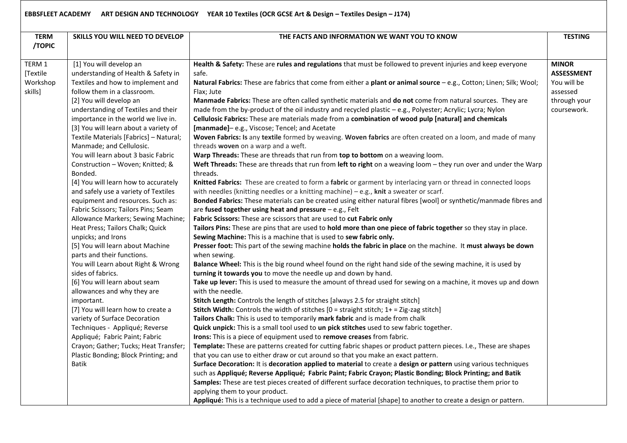| <b>TERM</b><br>/TOPIC                     | SKILLS YOU WILL NEED TO DEVELOP                                                                                                                                                                                                                                                                                                                                                                                                                                                                                                                                                                                                                                                                                                                                                                                                                                                                                                                                                                                                                                                                                                                                     | THE FACTS AND INFORMATION WE WANT YOU TO KNOW                                                                                                                                                                                                                                                                                                                                                                                                                                                                                                                                                                                                                                                                                                                                                                                                                                                                                                                                                                                                                                                                                                                                                                                                                                                                                                                                                                                                                                                                                                                                                                                                                                                                                                                                                                                                                                                                                                                                                                                                                                                                                                                                                                                                                                                                                                                                                                                                                                                                                                                                                                                                                                                                                                                                                                                                                                                                                                                                                                                                                                                                                                                                                         | <b>TESTING</b>                                                                              |
|-------------------------------------------|---------------------------------------------------------------------------------------------------------------------------------------------------------------------------------------------------------------------------------------------------------------------------------------------------------------------------------------------------------------------------------------------------------------------------------------------------------------------------------------------------------------------------------------------------------------------------------------------------------------------------------------------------------------------------------------------------------------------------------------------------------------------------------------------------------------------------------------------------------------------------------------------------------------------------------------------------------------------------------------------------------------------------------------------------------------------------------------------------------------------------------------------------------------------|-------------------------------------------------------------------------------------------------------------------------------------------------------------------------------------------------------------------------------------------------------------------------------------------------------------------------------------------------------------------------------------------------------------------------------------------------------------------------------------------------------------------------------------------------------------------------------------------------------------------------------------------------------------------------------------------------------------------------------------------------------------------------------------------------------------------------------------------------------------------------------------------------------------------------------------------------------------------------------------------------------------------------------------------------------------------------------------------------------------------------------------------------------------------------------------------------------------------------------------------------------------------------------------------------------------------------------------------------------------------------------------------------------------------------------------------------------------------------------------------------------------------------------------------------------------------------------------------------------------------------------------------------------------------------------------------------------------------------------------------------------------------------------------------------------------------------------------------------------------------------------------------------------------------------------------------------------------------------------------------------------------------------------------------------------------------------------------------------------------------------------------------------------------------------------------------------------------------------------------------------------------------------------------------------------------------------------------------------------------------------------------------------------------------------------------------------------------------------------------------------------------------------------------------------------------------------------------------------------------------------------------------------------------------------------------------------------------------------------------------------------------------------------------------------------------------------------------------------------------------------------------------------------------------------------------------------------------------------------------------------------------------------------------------------------------------------------------------------------------------------------------------------------------------------------------------------------|---------------------------------------------------------------------------------------------|
| TERM 1<br>[Textile<br>Workshop<br>skills] | [1] You will develop an<br>understanding of Health & Safety in<br>Textiles and how to implement and<br>follow them in a classroom.<br>[2] You will develop an<br>understanding of Textiles and their<br>importance in the world we live in.<br>[3] You will learn about a variety of<br>Textile Materials [Fabrics] - Natural;<br>Manmade; and Cellulosic.<br>You will learn about 3 basic Fabric<br>Construction - Woven; Knitted; &<br>Bonded.<br>[4] You will learn how to accurately<br>and safely use a variety of Textiles<br>equipment and resources. Such as:<br>Fabric Scissors; Tailors Pins; Seam<br>Allowance Markers; Sewing Machine;<br>Heat Press; Tailors Chalk; Quick<br>unpicks; and Irons<br>[5] You will learn about Machine<br>parts and their functions.<br>You will Learn about Right & Wrong<br>sides of fabrics.<br>[6] You will learn about seam<br>allowances and why they are<br>important.<br>[7] You will learn how to create a<br>variety of Surface Decoration<br>Techniques - Appliqué; Reverse<br>Appliqué; Fabric Paint; Fabric<br>Crayon; Gather; Tucks; Heat Transfer;<br>Plastic Bonding; Block Printing; and<br><b>Batik</b> | Health & Safety: These are rules and regulations that must be followed to prevent injuries and keep everyone<br>safe.<br>Natural Fabrics: These are fabrics that come from either a plant or animal source - e.g., Cotton; Linen; Silk; Wool;<br>Flax; Jute<br>Manmade Fabrics: These are often called synthetic materials and do not come from natural sources. They are<br>made from the by-product of the oil industry and recycled plastic - e.g., Polyester; Acrylic; Lycra; Nylon<br>Cellulosic Fabrics: These are materials made from a combination of wood pulp [natural] and chemicals<br>[manmade]-e.g., Viscose; Tencel; and Acetate<br>Woven Fabrics: Is any textile formed by weaving. Woven fabrics are often created on a loom, and made of many<br>threads woven on a warp and a weft.<br>Warp Threads: These are threads that run from top to bottom on a weaving loom.<br>Weft Threads: These are threads that run from left to right on a weaving loom - they run over and under the Warp<br>threads.<br>Knitted Fabrics: These are created to form a fabric or garment by interlacing yarn or thread in connected loops<br>with needles (knitting needles or a knitting machine) $-$ e.g., knit a sweater or scarf.<br>Bonded Fabrics: These materials can be created using either natural fibres [wool] or synthetic/manmade fibres and<br>are fused together using heat and pressure - e.g., Felt<br>Fabric Scissors: These are scissors that are used to cut Fabric only<br>Tailors Pins: These are pins that are used to hold more than one piece of fabric together so they stay in place.<br>Sewing Machine: This is a machine that is used to sew fabric only.<br>Presser foot: This part of the sewing machine holds the fabric in place on the machine. It must always be down<br>when sewing.<br>Balance Wheel: This is the big round wheel found on the right hand side of the sewing machine, it is used by<br>turning it towards you to move the needle up and down by hand.<br>Take up lever: This is used to measure the amount of thread used for sewing on a machine, it moves up and down<br>with the needle.<br>Stitch Length: Controls the length of stitches [always 2.5 for straight stitch]<br><b>Stitch Width:</b> Controls the width of stitches $[0 = \text{straight}\, \text{stitch}; 1 + \text{diag}\, \text{zag}\, \text{stitch}]$<br>Tailors Chalk: This is used to temporarily mark fabric and is made from chalk<br>Quick unpick: This is a small tool used to un pick stitches used to sew fabric together.<br>Irons: This is a piece of equipment used to remove creases from fabric.<br>Template: These are patterns created for cutting fabric shapes or product pattern pieces. I.e., These are shapes<br>that you can use to either draw or cut around so that you make an exact pattern.<br>Surface Decoration: It is decoration applied to material to create a design or pattern using various techniques<br>such as Appliqué; Reverse Appliqué; Fabric Paint; Fabric Crayon; Plastic Bonding; Block Printing; and Batik<br>Samples: These are test pieces created of different surface decoration techniques, to practise them prior to | <b>MINOR</b><br><b>ASSESSMENT</b><br>You will be<br>assessed<br>through your<br>coursework. |
|                                           |                                                                                                                                                                                                                                                                                                                                                                                                                                                                                                                                                                                                                                                                                                                                                                                                                                                                                                                                                                                                                                                                                                                                                                     | applying them to your product.<br>Appliqué: This is a technique used to add a piece of material [shape] to another to create a design or pattern.                                                                                                                                                                                                                                                                                                                                                                                                                                                                                                                                                                                                                                                                                                                                                                                                                                                                                                                                                                                                                                                                                                                                                                                                                                                                                                                                                                                                                                                                                                                                                                                                                                                                                                                                                                                                                                                                                                                                                                                                                                                                                                                                                                                                                                                                                                                                                                                                                                                                                                                                                                                                                                                                                                                                                                                                                                                                                                                                                                                                                                                     |                                                                                             |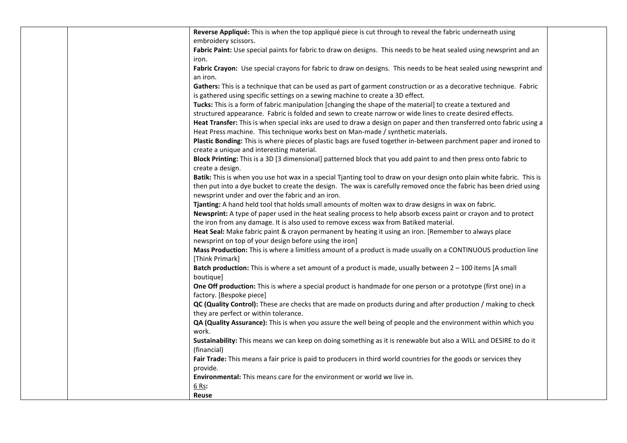| Reverse Appliqué: This is when the top appliqué piece is cut through to reveal the fabric underneath using             |  |
|------------------------------------------------------------------------------------------------------------------------|--|
| embroidery scissors.                                                                                                   |  |
| Fabric Paint: Use special paints for fabric to draw on designs. This needs to be heat sealed using newsprint and an    |  |
| iron.                                                                                                                  |  |
| Fabric Crayon: Use special crayons for fabric to draw on designs. This needs to be heat sealed using newsprint and     |  |
| an iron.                                                                                                               |  |
| Gathers: This is a technique that can be used as part of garment construction or as a decorative technique. Fabric     |  |
| is gathered using specific settings on a sewing machine to create a 3D effect.                                         |  |
| Tucks: This is a form of fabric manipulation [changing the shape of the material] to create a textured and             |  |
| structured appearance. Fabric is folded and sewn to create narrow or wide lines to create desired effects.             |  |
| Heat Transfer: This is when special inks are used to draw a design on paper and then transferred onto fabric using a   |  |
| Heat Press machine. This technique works best on Man-made / synthetic materials.                                       |  |
| Plastic Bonding: This is where pieces of plastic bags are fused together in-between parchment paper and ironed to      |  |
| create a unique and interesting material.                                                                              |  |
| Block Printing: This is a 3D [3 dimensional] patterned block that you add paint to and then press onto fabric to       |  |
| create a design.                                                                                                       |  |
| Batik: This is when you use hot wax in a special Tjanting tool to draw on your design onto plain white fabric. This is |  |
| then put into a dye bucket to create the design. The wax is carefully removed once the fabric has been dried using     |  |
| newsprint under and over the fabric and an iron.                                                                       |  |
| Tjanting: A hand held tool that holds small amounts of molten wax to draw designs in wax on fabric.                    |  |
| Newsprint: A type of paper used in the heat sealing process to help absorb excess paint or crayon and to protect       |  |
| the iron from any damage. It is also used to remove excess wax from Batiked material.                                  |  |
| Heat Seal: Make fabric paint & crayon permanent by heating it using an iron. [Remember to always place                 |  |
| newsprint on top of your design before using the iron]                                                                 |  |
| Mass Production: This is where a limitless amount of a product is made usually on a CONTINUOUS production line         |  |
| [Think Primark]                                                                                                        |  |
| Batch production: This is where a set amount of a product is made, usually between 2 - 100 items [A small              |  |
| boutique]                                                                                                              |  |
| One Off production: This is where a special product is handmade for one person or a prototype (first one) in a         |  |
| factory. [Bespoke piece]                                                                                               |  |
| QC (Quality Control): These are checks that are made on products during and after production / making to check         |  |
| they are perfect or within tolerance.                                                                                  |  |
| QA (Quality Assurance): This is when you assure the well being of people and the environment within which you          |  |
| work.                                                                                                                  |  |
| Sustainability: This means we can keep on doing something as it is renewable but also a WILL and DESIRE to do it       |  |
| (financial)                                                                                                            |  |
| Fair Trade: This means a fair price is paid to producers in third world countries for the goods or services they       |  |
| provide.                                                                                                               |  |
| Environmental: This means care for the environment or world we live in.                                                |  |
| 6 Rs:                                                                                                                  |  |
| Reuse                                                                                                                  |  |
|                                                                                                                        |  |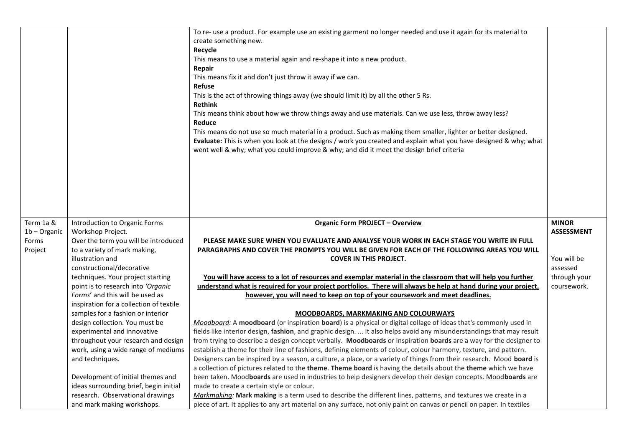|                |                                                                              | To re- use a product. For example use an existing garment no longer needed and use it again for its material to<br>create something new.<br>Recycle<br>This means to use a material again and re-shape it into a new product.<br>Repair<br>This means fix it and don't just throw it away if we can.<br><b>Refuse</b><br>This is the act of throwing things away (we should limit it) by all the other 5 Rs.<br><b>Rethink</b><br>This means think about how we throw things away and use materials. Can we use less, throw away less?<br>Reduce<br>This means do not use so much material in a product. Such as making them smaller, lighter or better designed.<br>Evaluate: This is when you look at the designs / work you created and explain what you have designed & why; what<br>went well & why; what you could improve & why; and did it meet the design brief criteria |                   |
|----------------|------------------------------------------------------------------------------|-----------------------------------------------------------------------------------------------------------------------------------------------------------------------------------------------------------------------------------------------------------------------------------------------------------------------------------------------------------------------------------------------------------------------------------------------------------------------------------------------------------------------------------------------------------------------------------------------------------------------------------------------------------------------------------------------------------------------------------------------------------------------------------------------------------------------------------------------------------------------------------|-------------------|
| Term 1a &      | Introduction to Organic Forms                                                | <b>Organic Form PROJECT - Overview</b>                                                                                                                                                                                                                                                                                                                                                                                                                                                                                                                                                                                                                                                                                                                                                                                                                                            | <b>MINOR</b>      |
|                |                                                                              |                                                                                                                                                                                                                                                                                                                                                                                                                                                                                                                                                                                                                                                                                                                                                                                                                                                                                   |                   |
| $1b -$ Organic | Workshop Project.                                                            |                                                                                                                                                                                                                                                                                                                                                                                                                                                                                                                                                                                                                                                                                                                                                                                                                                                                                   | <b>ASSESSMENT</b> |
| Forms          | Over the term you will be introduced                                         | PLEASE MAKE SURE WHEN YOU EVALUATE AND ANALYSE YOUR WORK IN EACH STAGE YOU WRITE IN FULL                                                                                                                                                                                                                                                                                                                                                                                                                                                                                                                                                                                                                                                                                                                                                                                          |                   |
| Project        | to a variety of mark making,                                                 | PARAGRAPHS AND COVER THE PROMPTS YOU WILL BE GIVEN FOR EACH OF THE FOLLOWING AREAS YOU WILL                                                                                                                                                                                                                                                                                                                                                                                                                                                                                                                                                                                                                                                                                                                                                                                       |                   |
|                | illustration and                                                             | <b>COVER IN THIS PROJECT.</b>                                                                                                                                                                                                                                                                                                                                                                                                                                                                                                                                                                                                                                                                                                                                                                                                                                                     | You will be       |
|                | constructional/decorative                                                    |                                                                                                                                                                                                                                                                                                                                                                                                                                                                                                                                                                                                                                                                                                                                                                                                                                                                                   | assessed          |
|                | techniques. Your project starting                                            | You will have access to a lot of resources and exemplar material in the classroom that will help you further                                                                                                                                                                                                                                                                                                                                                                                                                                                                                                                                                                                                                                                                                                                                                                      | through your      |
|                | point is to research into 'Organic                                           | understand what is required for your project portfolios. There will always be help at hand during your project,                                                                                                                                                                                                                                                                                                                                                                                                                                                                                                                                                                                                                                                                                                                                                                   | coursework.       |
|                | Forms' and this will be used as                                              | however, you will need to keep on top of your coursework and meet deadlines.                                                                                                                                                                                                                                                                                                                                                                                                                                                                                                                                                                                                                                                                                                                                                                                                      |                   |
|                | inspiration for a collection of textile<br>samples for a fashion or interior | <b>MOODBOARDS, MARKMAKING AND COLOURWAYS</b>                                                                                                                                                                                                                                                                                                                                                                                                                                                                                                                                                                                                                                                                                                                                                                                                                                      |                   |
|                | design collection. You must be                                               | Moodboard: A moodboard (or inspiration board) is a physical or digital collage of ideas that's commonly used in                                                                                                                                                                                                                                                                                                                                                                                                                                                                                                                                                                                                                                                                                                                                                                   |                   |
|                | experimental and innovative                                                  | fields like interior design, fashion, and graphic design.  It also helps avoid any misunderstandings that may result                                                                                                                                                                                                                                                                                                                                                                                                                                                                                                                                                                                                                                                                                                                                                              |                   |
|                | throughout your research and design                                          | from trying to describe a design concept verbally. Moodboards or Inspiration boards are a way for the designer to                                                                                                                                                                                                                                                                                                                                                                                                                                                                                                                                                                                                                                                                                                                                                                 |                   |
|                | work, using a wide range of mediums                                          | establish a theme for their line of fashions, defining elements of colour, colour harmony, texture, and pattern.                                                                                                                                                                                                                                                                                                                                                                                                                                                                                                                                                                                                                                                                                                                                                                  |                   |
|                | and techniques.                                                              | Designers can be inspired by a season, a culture, a place, or a variety of things from their research. Mood board is                                                                                                                                                                                                                                                                                                                                                                                                                                                                                                                                                                                                                                                                                                                                                              |                   |
|                |                                                                              | a collection of pictures related to the theme. Theme board is having the details about the theme which we have                                                                                                                                                                                                                                                                                                                                                                                                                                                                                                                                                                                                                                                                                                                                                                    |                   |
|                | Development of initial themes and                                            | been taken. Moodboards are used in industries to help designers develop their design concepts. Moodboards are                                                                                                                                                                                                                                                                                                                                                                                                                                                                                                                                                                                                                                                                                                                                                                     |                   |
|                | ideas surrounding brief, begin initial                                       | made to create a certain style or colour.                                                                                                                                                                                                                                                                                                                                                                                                                                                                                                                                                                                                                                                                                                                                                                                                                                         |                   |
|                | research. Observational drawings<br>and mark making workshops.               | Markmaking: Mark making is a term used to describe the different lines, patterns, and textures we create in a<br>piece of art. It applies to any art material on any surface, not only paint on canvas or pencil on paper. In textiles                                                                                                                                                                                                                                                                                                                                                                                                                                                                                                                                                                                                                                            |                   |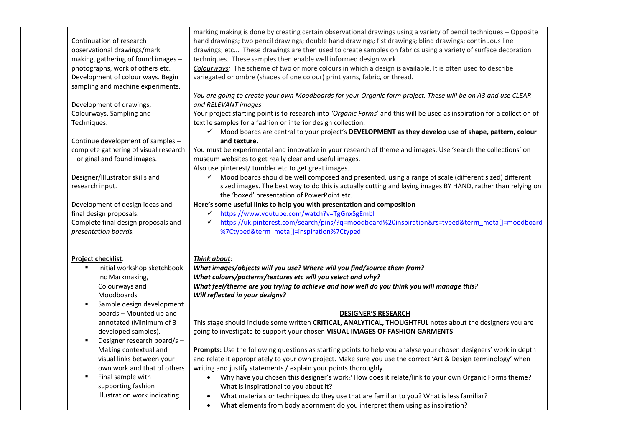| making, gathering of found images -<br>photographs, work of others etc.                           | techniques. These samples then enable well informed design work.<br>Colourways: The scheme of two or more colours in which a design is available. It is often used to describe                                                                                                                                               |
|---------------------------------------------------------------------------------------------------|------------------------------------------------------------------------------------------------------------------------------------------------------------------------------------------------------------------------------------------------------------------------------------------------------------------------------|
| Development of colour ways. Begin<br>sampling and machine experiments.                            | variegated or ombre (shades of one colour) print yarns, fabric, or thread.                                                                                                                                                                                                                                                   |
| Development of drawings,                                                                          | You are going to create your own Moodboards for your Organic form project. These will be on A3 and use CLEAR<br>and RELEVANT images                                                                                                                                                                                          |
| Colourways, Sampling and<br>Techniques.                                                           | Your project starting point is to research into 'Organic Forms' and this will be used as inspiration for a collection of<br>textile samples for a fashion or interior design collection.                                                                                                                                     |
| Continue development of samples -                                                                 | √ Mood boards are central to your project's DEVELOPMENT as they develop use of shape, pattern, colour<br>and texture.                                                                                                                                                                                                        |
| complete gathering of visual research<br>- original and found images.                             | You must be experimental and innovative in your research of theme and images; Use 'search the collections' on<br>museum websites to get really clear and useful images.                                                                                                                                                      |
| Designer/Illustrator skills and<br>research input.                                                | Also use pinterest/ tumbler etc to get great images<br>✓ Mood boards should be well composed and presented, using a range of scale (different sized) different<br>sized images. The best way to do this is actually cutting and laying images BY HAND, rather than relying on<br>the 'boxed' presentation of PowerPoint etc. |
| Development of design ideas and<br>final design proposals.<br>Complete final design proposals and | Here's some useful links to help you with presentation and composition<br>https://www.youtube.com/watch?v=TgGnxSgEmbl<br>$\checkmark$<br>https://uk.pinterest.com/search/pins/?q=moodboard%20inspiration&rs=typed&term_meta[]=moodboard<br>✓                                                                                 |
| presentation boards.                                                                              | %7Ctyped&term_meta[]=inspiration%7Ctyped                                                                                                                                                                                                                                                                                     |
| <b>Project checklist:</b>                                                                         | Think about:                                                                                                                                                                                                                                                                                                                 |
| Initial workshop sketchbook<br>inc Markmaking,                                                    | What images/objects will you use? Where will you find/source them from?<br>What colours/patterns/textures etc will you select and why?                                                                                                                                                                                       |
| Colourways and<br>Moodboards                                                                      | What feel/theme are you trying to achieve and how well do you think you will manage this?<br>Will reflected in your designs?                                                                                                                                                                                                 |
| Sample design development<br>boards - Mounted up and                                              | <b>DESIGNER'S RESEARCH</b>                                                                                                                                                                                                                                                                                                   |
| annotated (Minimum of 3<br>developed samples).<br>Designer research board/s -<br>٠                | This stage should include some written CRITICAL, ANALYTICAL, THOUGHTFUL notes about the designers you are<br>going to investigate to support your chosen VISUAL IMAGES OF FASHION GARMENTS                                                                                                                                   |
| Making contextual and<br>visual links between your                                                | Prompts: Use the following questions as starting points to help you analyse your chosen designers' work in depth<br>and relate it appropriately to your own project. Make sure you use the correct 'Art & Design terminology' when                                                                                           |
| own work and that of others                                                                       | writing and justify statements / explain your points thoroughly.<br>Why have you chosen this designer's work? How does it relate/link to your own Organic Forms theme?<br>$\bullet$                                                                                                                                          |
| Final sample with<br>п                                                                            |                                                                                                                                                                                                                                                                                                                              |
| supporting fashion<br>illustration work indicating                                                | What is inspirational to you about it?<br>What materials or techniques do they use that are familiar to you? What is less familiar?                                                                                                                                                                                          |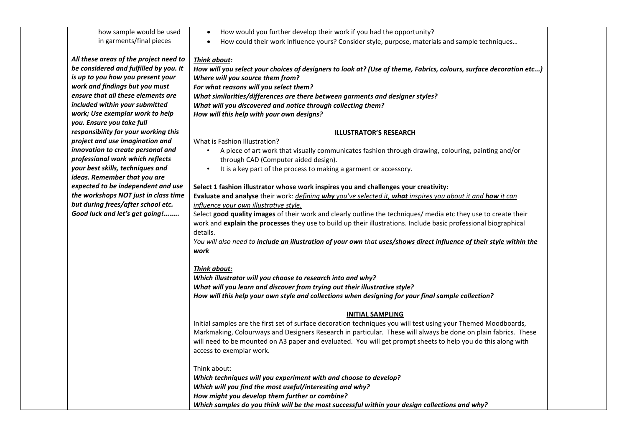#### how sample would be used in garments/final pieces *All these areas of the project need to be considered and fulfilled by you. It is up to you how you present your work and findings but you must ensure that all these elements are included within your submitted work; Use exemplar work to help you. Ensure you take full responsibility for your working this project and use imagination and innovation to create personal and professional work which reflects your best skills, techniques and ideas. Remember that you are expected to be independent and use the workshops NOT just in class time but during frees/after school etc. Good luck and let's get going!........* • How would you further develop their work if you had the opportunity? • How could their work influence yours? Consider style, purpose, materials and sample techniques… *Think about: How will you select your choices of designers to look at? (Use of theme, Fabrics, colours, surface decoration etc...) Where will you source them from? For what reasons will you select them? What similarities/differences are there between garments and designer styles? What will you discovered and notice through collecting them? How will this help with your own designs?* **ILLUSTRATOR'S RESEARCH** What is Fashion Illustration? • A piece of art work that visually communicates fashion through drawing, colouring, painting and/or through CAD (Computer aided design). • It is a key part of the process to making a garment or accessory. **Select 1 fashion illustrator whose work inspires you and challenges your creativity: Evaluate and analyse** their work: *defining why you've selected it, what inspires you about it and how it can influence your own illustrative style.* Select **good quality images** of their work and clearly outline the techniques/ media etc they use to create their work and **explain the processes** they use to build up their illustrations. Include basic professional biographical details. *You will also need to include an illustration of your own that uses/shows direct influence of their style within the work Think about: Which illustrator will you choose to research into and why? What will you learn and discover from trying out their illustrative style? How will this help your own style and collections when designing for your final sample collection?*  **INITIAL SAMPLING** Initial samples are the first set of surface decoration techniques you will test using your Themed Moodboards, Markmaking, Colourways and Designers Research in particular. These will always be done on plain fabrics. These will need to be mounted on A3 paper and evaluated. You will get prompt sheets to help you do this along with access to exemplar work. Think about: *Which techniques will you experiment with and choose to develop? Which will you find the most useful/interesting and why?*

*How might you develop them further or combine?*

*Which samples do you think will be the most successful within your design collections and why?*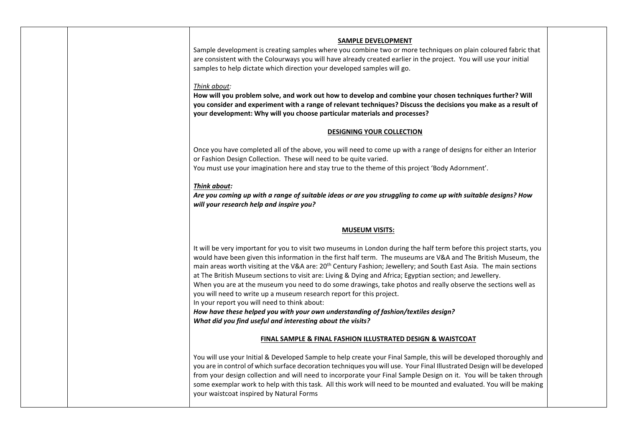## **SAMPLE DEVELOPMENT**

Sample development is creating samples where you combine two or more techniques on plain coloured fabric that are consistent with the Colourways you will have already created earlier in the project. You will use your initial samples to help dictate which direction your developed samples will go.

#### *Think about:*

**How will you problem solve, and work out how to develop and combine your chosen techniques further? Will you consider and experiment with a range of relevant techniques? Discuss the decisions you make as a result of your development: Why will you choose particular materials and processes?**

#### **DESIGNING YOUR COLLECTION**

Once you have completed all of the above, you will need to come up with a range of designs for either an Interior or Fashion Design Collection. These will need to be quite varied.

You must use your imagination here and stay true to the theme of this project 'Body Adornment'.

#### *Think about:*

*Are you coming up with a range of suitable ideas or are you struggling to come up with suitable designs? How will your research help and inspire you?*

# **MUSEUM VISITS:**

It will be very important for you to visit two museums in London during the half term before this project starts, you would have been given this information in the first half term. The museums are V&A and The British Museum, the main areas worth visiting at the V&A are: 20<sup>th</sup> Century Fashion; Jewellery; and South East Asia. The main sections at The British Museum sections to visit are: Living & Dying and Africa; Egyptian section; and Jewellery.

When you are at the museum you need to do some drawings, take photos and really observe the sections well as you will need to write up a museum research report for this project.

In your report you will need to think about:

*How have these helped you with your own understanding of fashion/textiles design? What did you find useful and interesting about the visits?*

## **FINAL SAMPLE & FINAL FASHION ILLUSTRATED DESIGN & WAISTCOAT**

You will use your Initial & Developed Sample to help create your Final Sample, this will be developed thoroughly and you are in control of which surface decoration techniques you will use. Your Final Illustrated Design will be developed from your design collection and will need to incorporate your Final Sample Design on it. You will be taken through some exemplar work to help with this task. All this work will need to be mounted and evaluated. You will be making your waistcoat inspired by Natural Forms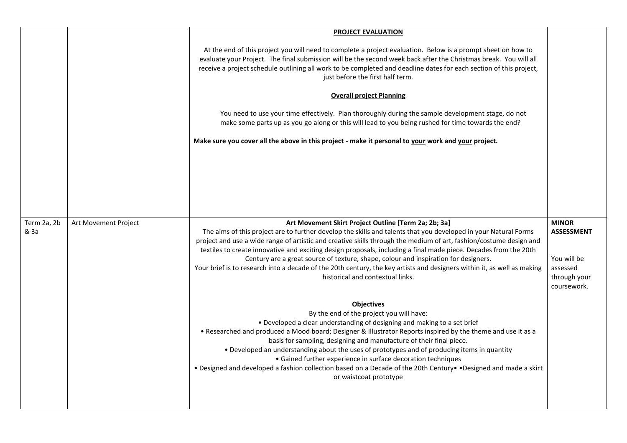|                     |                      | <b>PROJECT EVALUATION</b>                                                                                                                                                                                                                                                                                                                                                                                                                                                                                                                                                                                                                                               |                                                                                             |
|---------------------|----------------------|-------------------------------------------------------------------------------------------------------------------------------------------------------------------------------------------------------------------------------------------------------------------------------------------------------------------------------------------------------------------------------------------------------------------------------------------------------------------------------------------------------------------------------------------------------------------------------------------------------------------------------------------------------------------------|---------------------------------------------------------------------------------------------|
|                     |                      | At the end of this project you will need to complete a project evaluation. Below is a prompt sheet on how to<br>evaluate your Project. The final submission will be the second week back after the Christmas break. You will all<br>receive a project schedule outlining all work to be completed and deadline dates for each section of this project,<br>just before the first half term.                                                                                                                                                                                                                                                                              |                                                                                             |
|                     |                      | <b>Overall project Planning</b>                                                                                                                                                                                                                                                                                                                                                                                                                                                                                                                                                                                                                                         |                                                                                             |
|                     |                      | You need to use your time effectively. Plan thoroughly during the sample development stage, do not<br>make some parts up as you go along or this will lead to you being rushed for time towards the end?                                                                                                                                                                                                                                                                                                                                                                                                                                                                |                                                                                             |
|                     |                      | Make sure you cover all the above in this project - make it personal to your work and your project.                                                                                                                                                                                                                                                                                                                                                                                                                                                                                                                                                                     |                                                                                             |
|                     |                      |                                                                                                                                                                                                                                                                                                                                                                                                                                                                                                                                                                                                                                                                         |                                                                                             |
|                     |                      |                                                                                                                                                                                                                                                                                                                                                                                                                                                                                                                                                                                                                                                                         |                                                                                             |
|                     |                      |                                                                                                                                                                                                                                                                                                                                                                                                                                                                                                                                                                                                                                                                         |                                                                                             |
|                     |                      |                                                                                                                                                                                                                                                                                                                                                                                                                                                                                                                                                                                                                                                                         |                                                                                             |
| Term 2a, 2b<br>& 3a | Art Movement Project | Art Movement Skirt Project Outline [Term 2a; 2b; 3a]<br>The aims of this project are to further develop the skills and talents that you developed in your Natural Forms<br>project and use a wide range of artistic and creative skills through the medium of art, fashion/costume design and<br>textiles to create innovative and exciting design proposals, including a final made piece. Decades from the 20th<br>Century are a great source of texture, shape, colour and inspiration for designers.<br>Your brief is to research into a decade of the 20th century, the key artists and designers within it, as well as making<br>historical and contextual links. | <b>MINOR</b><br><b>ASSESSMENT</b><br>You will be<br>assessed<br>through your<br>coursework. |
|                     |                      | <b>Objectives</b><br>By the end of the project you will have:<br>• Developed a clear understanding of designing and making to a set brief<br>. Researched and produced a Mood board; Designer & Illustrator Reports inspired by the theme and use it as a<br>basis for sampling, designing and manufacture of their final piece.<br>• Developed an understanding about the uses of prototypes and of producing items in quantity<br>• Gained further experience in surface decoration techniques<br>• Designed and developed a fashion collection based on a Decade of the 20th Century • Pesigned and made a skirt<br>or waistcoat prototype                           |                                                                                             |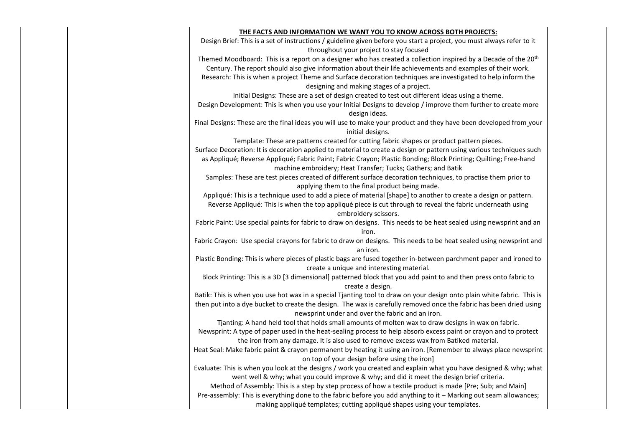| THE FACTS AND INFORMATION WE WANT YOU TO KNOW ACROSS BOTH PROJECTS:                                                        |  |
|----------------------------------------------------------------------------------------------------------------------------|--|
| Design Brief: This is a set of instructions / guideline given before you start a project, you must always refer to it      |  |
| throughout your project to stay focused                                                                                    |  |
| Themed Moodboard: This is a report on a designer who has created a collection inspired by a Decade of the 20 <sup>th</sup> |  |
| Century. The report should also give information about their life achievements and examples of their work.                 |  |
| Research: This is when a project Theme and Surface decoration techniques are investigated to help inform the               |  |
| designing and making stages of a project.                                                                                  |  |
| Initial Designs: These are a set of design created to test out different ideas using a theme.                              |  |
| Design Development: This is when you use your Initial Designs to develop / improve them further to create more             |  |
| design ideas.                                                                                                              |  |
| Final Designs: These are the final ideas you will use to make your product and they have been developed from your          |  |
| initial designs.                                                                                                           |  |
| Template: These are patterns created for cutting fabric shapes or product pattern pieces.                                  |  |
| Surface Decoration: It is decoration applied to material to create a design or pattern using various techniques such       |  |
| as Appliqué; Reverse Appliqué; Fabric Paint; Fabric Crayon; Plastic Bonding; Block Printing; Quilting; Free-hand           |  |
| machine embroidery; Heat Transfer; Tucks; Gathers; and Batik                                                               |  |
| Samples: These are test pieces created of different surface decoration techniques, to practise them prior to               |  |
| applying them to the final product being made.                                                                             |  |
| Appliqué: This is a technique used to add a piece of material [shape] to another to create a design or pattern.            |  |
| Reverse Appliqué: This is when the top appliqué piece is cut through to reveal the fabric underneath using                 |  |
| embroidery scissors.                                                                                                       |  |
| Fabric Paint: Use special paints for fabric to draw on designs. This needs to be heat sealed using newsprint and an        |  |
| iron.                                                                                                                      |  |
| Fabric Crayon: Use special crayons for fabric to draw on designs. This needs to be heat sealed using newsprint and         |  |
| an iron.                                                                                                                   |  |
| Plastic Bonding: This is where pieces of plastic bags are fused together in-between parchment paper and ironed to          |  |
| create a unique and interesting material.                                                                                  |  |
| Block Printing: This is a 3D [3 dimensional] patterned block that you add paint to and then press onto fabric to           |  |
| create a design.                                                                                                           |  |
| Batik: This is when you use hot wax in a special Tjanting tool to draw on your design onto plain white fabric. This is     |  |
| then put into a dye bucket to create the design. The wax is carefully removed once the fabric has been dried using         |  |
| newsprint under and over the fabric and an iron.                                                                           |  |
| Tjanting: A hand held tool that holds small amounts of molten wax to draw designs in wax on fabric.                        |  |
| Newsprint: A type of paper used in the heat-sealing process to help absorb excess paint or crayon and to protect           |  |
| the iron from any damage. It is also used to remove excess wax from Batiked material.                                      |  |
| Heat Seal: Make fabric paint & crayon permanent by heating it using an iron. [Remember to always place newsprint           |  |
| on top of your design before using the iron]                                                                               |  |
| Evaluate: This is when you look at the designs / work you created and explain what you have designed & why; what           |  |
| went well & why; what you could improve & why; and did it meet the design brief criteria.                                  |  |
| Method of Assembly: This is a step by step process of how a textile product is made [Pre; Sub; and Main]                   |  |
| Pre-assembly: This is everything done to the fabric before you add anything to it - Marking out seam allowances;           |  |
| making appliqué templates; cutting appliqué shapes using your templates.                                                   |  |
|                                                                                                                            |  |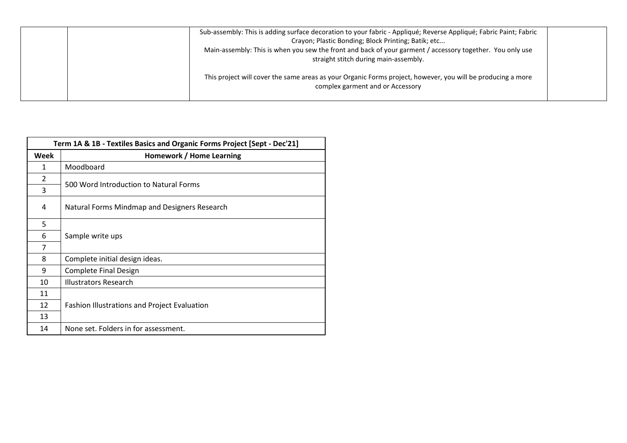| Sub-assembly: This is adding surface decoration to your fabric - Appliqué; Reverse Appliqué; Fabric Paint; Fabric<br>Crayon; Plastic Bonding; Block Printing; Batik; etc<br>Main-assembly: This is when you sew the front and back of your garment / accessory together. You only use<br>straight stitch during main-assembly. |  |
|--------------------------------------------------------------------------------------------------------------------------------------------------------------------------------------------------------------------------------------------------------------------------------------------------------------------------------|--|
| This project will cover the same areas as your Organic Forms project, however, you will be producing a more<br>complex garment and or Accessory                                                                                                                                                                                |  |

|                | Term 1A & 1B - Textiles Basics and Organic Forms Project [Sept - Dec'21] |  |  |
|----------------|--------------------------------------------------------------------------|--|--|
| Week           | Homework / Home Learning                                                 |  |  |
| $\mathbf{1}$   | Moodboard                                                                |  |  |
| $\overline{2}$ |                                                                          |  |  |
| 3              | 500 Word Introduction to Natural Forms                                   |  |  |
| 4              | Natural Forms Mindmap and Designers Research                             |  |  |
| 5              |                                                                          |  |  |
| 6              | Sample write ups                                                         |  |  |
| 7              |                                                                          |  |  |
| 8              | Complete initial design ideas.                                           |  |  |
| 9              | <b>Complete Final Design</b>                                             |  |  |
| 10             | <b>Illustrators Research</b>                                             |  |  |
| 11             |                                                                          |  |  |
| 12             | <b>Fashion Illustrations and Project Evaluation</b>                      |  |  |
| 13             |                                                                          |  |  |
| 14             | None set. Folders in for assessment.                                     |  |  |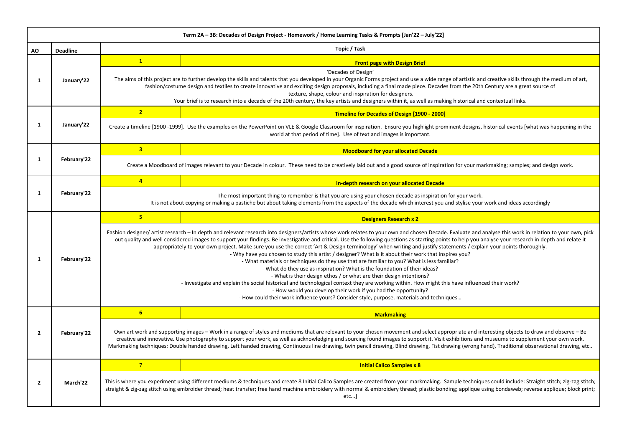|                | Term 2A - 3B: Decades of Design Project - Homework / Home Learning Tasks & Prompts [Jan'22 - July'22] |                |                                                                                                                                                                                                                                                                                                                                                                                                                                                                                                                                                                                                                                                                                                                                                                                                                                                                                                                                                                                                                                                                                                                                                                                                                                                                     |  |
|----------------|-------------------------------------------------------------------------------------------------------|----------------|---------------------------------------------------------------------------------------------------------------------------------------------------------------------------------------------------------------------------------------------------------------------------------------------------------------------------------------------------------------------------------------------------------------------------------------------------------------------------------------------------------------------------------------------------------------------------------------------------------------------------------------------------------------------------------------------------------------------------------------------------------------------------------------------------------------------------------------------------------------------------------------------------------------------------------------------------------------------------------------------------------------------------------------------------------------------------------------------------------------------------------------------------------------------------------------------------------------------------------------------------------------------|--|
| ΑO             | <b>Deadline</b>                                                                                       | Topic / Task   |                                                                                                                                                                                                                                                                                                                                                                                                                                                                                                                                                                                                                                                                                                                                                                                                                                                                                                                                                                                                                                                                                                                                                                                                                                                                     |  |
| 1              |                                                                                                       | 1              | <b>Front page with Design Brief</b>                                                                                                                                                                                                                                                                                                                                                                                                                                                                                                                                                                                                                                                                                                                                                                                                                                                                                                                                                                                                                                                                                                                                                                                                                                 |  |
|                | January'22                                                                                            |                | 'Decades of Design'<br>The aims of this project are to further develop the skills and talents that you developed in your Organic Forms project and use a wide range of artistic and creative skills through the medium of art,<br>fashion/costume design and textiles to create innovative and exciting design proposals, including a final made piece. Decades from the 20th Century are a great source of<br>texture, shape, colour and inspiration for designers.<br>Your brief is to research into a decade of the 20th century, the key artists and designers within it, as well as making historical and contextual links.                                                                                                                                                                                                                                                                                                                                                                                                                                                                                                                                                                                                                                    |  |
|                |                                                                                                       | 2 <sup>1</sup> | <b>Timeline for Decades of Design [1900 - 2000]</b>                                                                                                                                                                                                                                                                                                                                                                                                                                                                                                                                                                                                                                                                                                                                                                                                                                                                                                                                                                                                                                                                                                                                                                                                                 |  |
| 1              | January'22                                                                                            |                | Create a timeline [1900-1999]. Use the examples on the PowerPoint on VLE & Google Classroom for inspiration. Ensure you highlight prominent designs, historical events [what was happening in the<br>world at that period of time]. Use of text and images is important.                                                                                                                                                                                                                                                                                                                                                                                                                                                                                                                                                                                                                                                                                                                                                                                                                                                                                                                                                                                            |  |
|                |                                                                                                       | 3 <sup>1</sup> | <b>Moodboard for your allocated Decade</b>                                                                                                                                                                                                                                                                                                                                                                                                                                                                                                                                                                                                                                                                                                                                                                                                                                                                                                                                                                                                                                                                                                                                                                                                                          |  |
| 1              | February'22                                                                                           |                | Create a Moodboard of images relevant to your Decade in colour. These need to be creatively laid out and a good source of inspiration for your markmaking; samples; and design work.                                                                                                                                                                                                                                                                                                                                                                                                                                                                                                                                                                                                                                                                                                                                                                                                                                                                                                                                                                                                                                                                                |  |
|                |                                                                                                       | $\overline{4}$ | In-depth research on your allocated Decade                                                                                                                                                                                                                                                                                                                                                                                                                                                                                                                                                                                                                                                                                                                                                                                                                                                                                                                                                                                                                                                                                                                                                                                                                          |  |
| 1              | February'22                                                                                           |                | The most important thing to remember is that you are using your chosen decade as inspiration for your work.<br>It is not about copying or making a pastiche but about taking elements from the aspects of the decade which interest you and stylise your work and ideas accordingly                                                                                                                                                                                                                                                                                                                                                                                                                                                                                                                                                                                                                                                                                                                                                                                                                                                                                                                                                                                 |  |
|                | February'22                                                                                           | 5 <sup>1</sup> | <b>Designers Research x 2</b>                                                                                                                                                                                                                                                                                                                                                                                                                                                                                                                                                                                                                                                                                                                                                                                                                                                                                                                                                                                                                                                                                                                                                                                                                                       |  |
| 1              |                                                                                                       |                | Fashion designer/artist research - In depth and relevant research into designers/artists whose work relates to your own and chosen Decade. Evaluate and analyse this work in relation to your own, pick<br>out quality and well considered images to support your findings. Be investigative and critical. Use the following questions as starting points to help you analyse your research in depth and relate it<br>appropriately to your own project. Make sure you use the correct 'Art & Design terminology' when writing and justify statements / explain your points thoroughly.<br>- Why have you chosen to study this artist / designer? What is it about their work that inspires you?<br>- What materials or techniques do they use that are familiar to you? What is less familiar?<br>- What do they use as inspiration? What is the foundation of their ideas?<br>- What is their design ethos / or what are their design intentions?<br>- Investigate and explain the social historical and technological context they are working within. How might this have influenced their work?<br>- How would you develop their work if you had the opportunity?<br>- How could their work influence yours? Consider style, purpose, materials and techniques |  |
|                |                                                                                                       | 6 <sup>1</sup> | <b>Markmaking</b>                                                                                                                                                                                                                                                                                                                                                                                                                                                                                                                                                                                                                                                                                                                                                                                                                                                                                                                                                                                                                                                                                                                                                                                                                                                   |  |
| $\overline{2}$ | February'22                                                                                           |                | Own art work and supporting images - Work in a range of styles and mediums that are relevant to your chosen movement and select appropriate and interesting objects to draw and observe - Be<br>creative and innovative. Use photography to support your work, as well as acknowledging and sourcing found images to support it. Visit exhibitions and museums to supplement your own work.<br>Markmaking techniques: Double handed drawing, Left handed drawing, Continuous line drawing, twin pencil drawing, Blind drawing, Fist drawing (wrong hand), Traditional observational drawing, etc                                                                                                                                                                                                                                                                                                                                                                                                                                                                                                                                                                                                                                                                    |  |
|                |                                                                                                       | $7^{\circ}$    | <b>Initial Calico Samples x 8</b>                                                                                                                                                                                                                                                                                                                                                                                                                                                                                                                                                                                                                                                                                                                                                                                                                                                                                                                                                                                                                                                                                                                                                                                                                                   |  |
| $\overline{2}$ | March'22                                                                                              |                | This is where you experiment using different mediums & techniques and create 8 Initial Calico Samples are created from your markmaking. Sample techniques could include: Straight stitch; zig-zag stitch;<br>straight & zig-zag stitch using embroider thread; heat transfer; free hand machine embroidery with normal & embroidery thread; plastic bonding; applique using bondaweb; reverse applique; block print;<br>etc]                                                                                                                                                                                                                                                                                                                                                                                                                                                                                                                                                                                                                                                                                                                                                                                                                                        |  |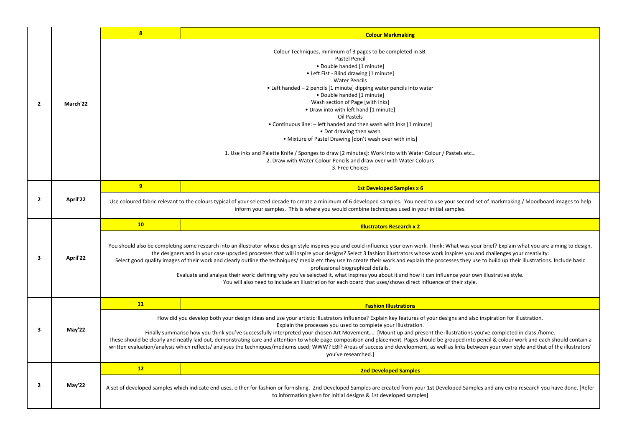|                         |          | $\overline{\mathbf{8}}$ | <b>Colour Markmaking</b>                                                                                                                                                                                                                                                                                                                                                                                                                                                                                                                                                                                                                                                                                                                                                                                                                                                                                |
|-------------------------|----------|-------------------------|---------------------------------------------------------------------------------------------------------------------------------------------------------------------------------------------------------------------------------------------------------------------------------------------------------------------------------------------------------------------------------------------------------------------------------------------------------------------------------------------------------------------------------------------------------------------------------------------------------------------------------------------------------------------------------------------------------------------------------------------------------------------------------------------------------------------------------------------------------------------------------------------------------|
| $\overline{2}$          | March'22 |                         | Colour Techniques, minimum of 3 pages to be completed in SB.<br><b>Pastel Pencil</b><br>· Double handed [1 minute]<br>• Left Fist - Blind drawing [1 minute]<br><b>Water Pencils</b><br>• Left handed – 2 pencils [1 minute] dipping water pencils into water<br>. Double handed [1 minute]<br>Wash section of Page [with inks]<br>. Draw into with left hand [1 minute]<br>Oil Pastels<br>• Continuous line: - left handed and then wash with inks [1 minute]<br>• Dot drawing then wash<br>. Mixture of Pastel Drawing [don't wash over with inks]<br>1. Use inks and Palette Knife / Sponges to draw [2 minutes]: Work into with Water Colour / Pastels etc<br>2. Draw with Water Colour Pencils and draw over with Water Colours<br>3. Free Choices                                                                                                                                                 |
|                         |          | 9                       | <b>1st Developed Samples x 6</b>                                                                                                                                                                                                                                                                                                                                                                                                                                                                                                                                                                                                                                                                                                                                                                                                                                                                        |
| $\overline{2}$          | April'22 |                         | Use coloured fabric relevant to the colours typical of your selected decade to create a minimum of 6 developed samples. You need to use your second set of markmaking / Moodboard images to help<br>inform your samples. This is where you would combine techniques used in your initial samples.                                                                                                                                                                                                                                                                                                                                                                                                                                                                                                                                                                                                       |
|                         |          | 10                      | <b>Illustrators Research x 2</b>                                                                                                                                                                                                                                                                                                                                                                                                                                                                                                                                                                                                                                                                                                                                                                                                                                                                        |
|                         |          |                         |                                                                                                                                                                                                                                                                                                                                                                                                                                                                                                                                                                                                                                                                                                                                                                                                                                                                                                         |
| $\overline{\mathbf{3}}$ | April'22 |                         | You should also be completing some research into an illustrator whose design style inspires you and could influence your own work. Think: What was your brief? Explain what you are aiming to design,<br>the designers and in your case upcycled processes that will inspire your designs? Select 3 fashion illustrators whose work inspires you and challenges your creativity:<br>Select good quality images of their work and clearly outline the techniques/ media etc they use to create their work and explain the processes they use to build up their illustrations. Include basic<br>professional biographical details.<br>Evaluate and analyse their work: defining why you've selected it, what inspires you about it and how it can influence your own illustrative style.<br>You will also need to include an illustration for each board that uses/shows direct influence of their style. |
|                         |          | 11                      | <b>Fashion Illustrations</b>                                                                                                                                                                                                                                                                                                                                                                                                                                                                                                                                                                                                                                                                                                                                                                                                                                                                            |
| 3                       | May'22   |                         | How did you develop both your design ideas and use your artistic illustrators influence? Explain key features of your designs and also inspiration for illustration.<br>Explain the processes you used to complete your Illustration.<br>Finally summarise how you think you've successfully interpreted your chosen Art Movement [Mount up and present the illustrations you've completed in class /home.<br>These should be clearly and neatly laid out, demonstrating care and attention to whole page composition and placement. Pages should be grouped into pencil & colour work and each should contain a<br>written evaluation/analysis which reflects/ analyses the techniques/mediums used; WWW? EBI? Areas of success and development, as well as links between your own style and that of the illustrators'<br>you've researched.]                                                          |
|                         |          | 12                      | <b>2nd Developed Samples</b>                                                                                                                                                                                                                                                                                                                                                                                                                                                                                                                                                                                                                                                                                                                                                                                                                                                                            |